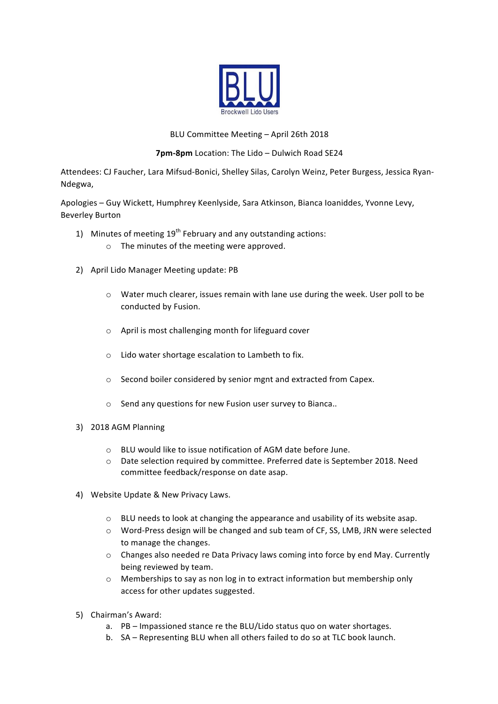

## BLU Committee Meeting - April 26th 2018

**7pm-8pm** Location: The Lido – Dulwich Road SE24

Attendees: CJ Faucher, Lara Mifsud-Bonici, Shelley Silas, Carolyn Weinz, Peter Burgess, Jessica Ryan-Ndegwa, 

Apologies – Guy Wickett, Humphrey Keenlyside, Sara Atkinson, Bianca Ioaniddes, Yvonne Levy, Beverley Burton

- 1) Minutes of meeting  $19<sup>th</sup>$  February and any outstanding actions:  $\circ$  The minutes of the meeting were approved.
- 2) April Lido Manager Meeting update: PB
	- $\circ$  Water much clearer, issues remain with lane use during the week. User poll to be conducted by Fusion.
	- $\circ$  April is most challenging month for lifeguard cover
	- $\circ$  Lido water shortage escalation to Lambeth to fix.
	- o Second boiler considered by senior mgnt and extracted from Capex.
	- $\circ$  Send any questions for new Fusion user survey to Bianca..
- 3) 2018 AGM Planning
	- $\circ$  BLU would like to issue notification of AGM date before June.
	- o Date selection required by committee. Preferred date is September 2018. Need committee feedback/response on date asap.
- 4) Website Update & New Privacy Laws.
	- $\circ$  BLU needs to look at changing the appearance and usability of its website asap.
	- $\circ$  Word-Press design will be changed and sub team of CF, SS, LMB, JRN were selected to manage the changes.
	- $\circ$  Changes also needed re Data Privacy laws coming into force by end May. Currently being reviewed by team.
	- $\circ$  Memberships to say as non log in to extract information but membership only access for other updates suggested.
- 5) Chairman's Award:
	- a. PB Impassioned stance re the BLU/Lido status quo on water shortages.
	- b. SA Representing BLU when all others failed to do so at TLC book launch.